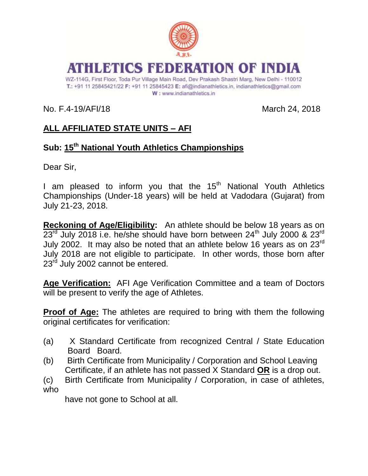

# ATHLETICS EEDBRATION OF IND

WZ-114G, First Floor, Toda Pur Village Main Road, Dev Prakash Shastri Marg, New Delhi - 110012 T.: +91 11 25845421/22 F: +91 11 25845423 E: afi@indianathletics.in, indianathletics@gmail.com W: www.indianathletics.in

No. F.4-19/AFI/18 March 24, 2018

# **ALL AFFILIATED STATE UNITS – AFI**

## **Sub: 15th National Youth Athletics Championships**

Dear Sir,

I am pleased to inform you that the  $15<sup>th</sup>$  National Youth Athletics Championships (Under-18 years) will be held at Vadodara (Gujarat) from July 21-23, 2018.

**Reckoning of Age/Eligibility:** An athlete should be below 18 years as on 23<sup>rd</sup> July 2018 i.e. he/she should have born between 24<sup>th</sup> July 2000 & 23<sup>rd</sup> July 2002. It may also be noted that an athlete below 16 years as on 23rd July 2018 are not eligible to participate. In other words, those born after 23<sup>rd</sup> July 2002 cannot be entered.

**Age Verification:** AFI Age Verification Committee and a team of Doctors will be present to verify the age of Athletes.

**Proof of Age:** The athletes are required to bring with them the following original certificates for verification:

- (a) X Standard Certificate from recognized Central / State Education Board Board.
- (b) Birth Certificate from Municipality / Corporation and School Leaving Certificate, if an athlete has not passed X Standard **OR** is a drop out.
- (c) Birth Certificate from Municipality / Corporation, in case of athletes, who

have not gone to School at all.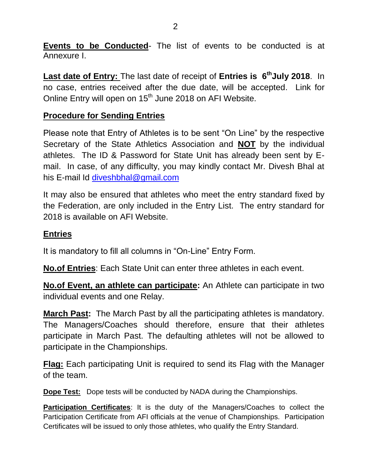**Events to be Conducted**- The list of events to be conducted is at Annexure I.

**Last date of Entry:** The last date of receipt of **Entries is 6thJuly 2018**. In no case, entries received after the due date, will be accepted. Link for Online Entry will open on 15<sup>th</sup> June 2018 on AFI Website.

### **Procedure for Sending Entries**

Please note that Entry of Athletes is to be sent "On Line" by the respective Secretary of the State Athletics Association and **NOT** by the individual athletes. The ID & Password for State Unit has already been sent by Email. In case, of any difficulty, you may kindly contact Mr. Divesh Bhal at his E-mail Id [diveshbhal@gmail.com](mailto:diveshbhal@gmail.com)

It may also be ensured that athletes who meet the entry standard fixed by the Federation, are only included in the Entry List. The entry standard for 2018 is available on AFI Website.

#### **Entries**

It is mandatory to fill all columns in "On-Line" Entry Form.

**No.of Entries**: Each State Unit can enter three athletes in each event.

**No.of Event, an athlete can participate:** An Athlete can participate in two individual events and one Relay.

**March Past:** The March Past by all the participating athletes is mandatory. The Managers/Coaches should therefore, ensure that their athletes participate in March Past. The defaulting athletes will not be allowed to participate in the Championships.

**Flag:** Each participating Unit is required to send its Flag with the Manager of the team.

**Dope Test:** Dope tests will be conducted by NADA during the Championships.

**Participation Certificates**: It is the duty of the Managers/Coaches to collect the Participation Certificate from AFI officials at the venue of Championships. Participation Certificates will be issued to only those athletes, who qualify the Entry Standard.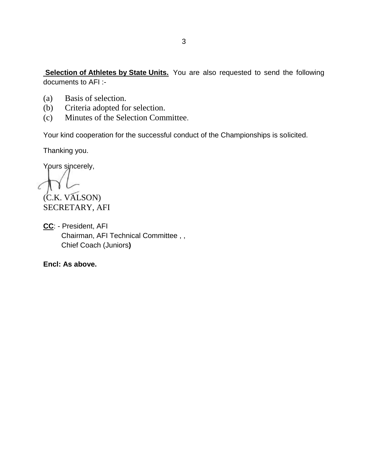**Selection of Athletes by State Units.** You are also requested to send the following documents to AFI :-

- (a) Basis of selection.
- (b) Criteria adopted for selection.
- (c) Minutes of the Selection Committee.

Your kind cooperation for the successful conduct of the Championships is solicited.

Thanking you.

Yours sincerely,

(C.K. VALSON) SECRETARY, AFI

**CC**: - President, AFI Chairman, AFI Technical Committee , , Chief Coach (Juniors**)**

**Encl: As above.**